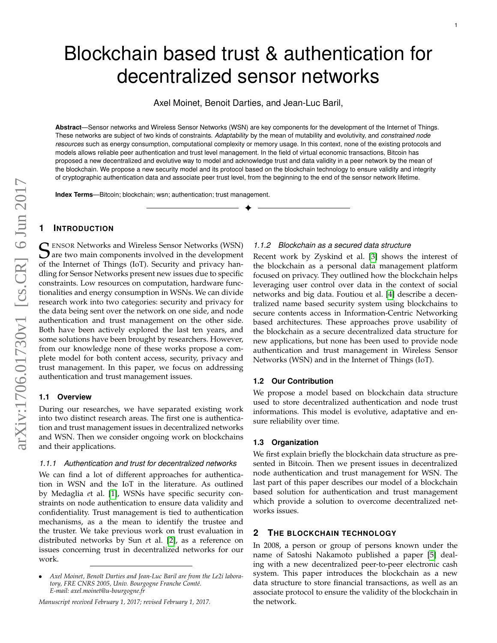# Blockchain based trust & authentication for decentralized sensor networks

Axel Moinet, Benoit Darties, and Jean-Luc Baril,

**Abstract**—Sensor networks and Wireless Sensor Networks (WSN) are key components for the development of the Internet of Things. These networks are subject of two kinds of constraints. *Adaptability* by the mean of mutability and evolutivity, and *constrained node resources* such as energy consumption, computational complexity or memory usage. In this context, none of the existing protocols and models allows reliable peer authentication and trust level management. In the field of virtual economic transactions, Bitcoin has proposed a new decentralized and evolutive way to model and acknowledge trust and data validity in a peer network by the mean of the blockchain. We propose a new security model and its protocol based on the blockchain technology to ensure validity and integrity of cryptographic authentication data and associate peer trust level, from the beginning to the end of the sensor network lifetime.

✦

**Index Terms**—Bitcoin; blockchain; wsn; authentication; trust management.

# **1 INTRODUCTION**

SENSOR Networks and Wireless Sensor Networks (WSN)<br>
Sare two main components involved in the development<br>
of the Internet of Things (IoT), Sequrity and privacy hap  $\sum$  are two main components involved in the development of the Internet of Things (IoT). Security and privacy handling for Sensor Networks present new issues due to specific constraints. Low resources on computation, hardware functionalities and energy consumption in WSNs. We can divide research work into two categories: security and privacy for the data being sent over the network on one side, and node authentication and trust management on the other side. Both have been actively explored the last ten years, and some solutions have been brought by researchers. However, from our knowledge none of these works propose a complete model for both content access, security, privacy and trust management. In this paper, we focus on addressing authentication and trust management issues.

#### **1.1 Overview**

During our researches, we have separated existing work into two distinct research areas. The first one is authentication and trust management issues in decentralized networks and WSN. Then we consider ongoing work on blockchains and their applications.

#### *1.1.1 Authentication and trust for decentralized networks*

We can find a lot of different approaches for authentication in WSN and the IoT in the literature. As outlined by Medaglia *e*t al. [\[1\]](#page-5-0), WSNs have specific security constraints on node authentication to ensure data validity and confidentiality. Trust management is tied to authentication mechanisms, as a the mean to identify the trustee and the truster. We take previous work on trust evaluation in distributed networks by Sun *e*t al. [\[2\]](#page-5-1), as a reference on issues concerning trust in decentralized networks for our work.

#### *1.1.2 Blockchain as a secured data structure*

Recent work by Zyskind et al. [\[3\]](#page-5-2) shows the interest of the blockchain as a personal data management platform focused on privacy. They outlined how the blockchain helps leveraging user control over data in the context of social networks and big data. Foutiou et al. [\[4\]](#page-5-3) describe a decentralized name based security system using blockchains to secure contents access in Information-Centric Networking based architectures. These approaches prove usability of the blockchain as a secure decentralized data structure for new applications, but none has been used to provide node authentication and trust management in Wireless Sensor Networks (WSN) and in the Internet of Things (IoT).

#### **1.2 Our Contribution**

We propose a model based on blockchain data structure used to store decentralized authentication and node trust informations. This model is evolutive, adaptative and ensure reliability over time.

#### **1.3 Organization**

We first explain briefly the blockchain data structure as presented in Bitcoin. Then we present issues in decentralized node authentication and trust management for WSN. The last part of this paper describes our model of a blockchain based solution for authentication and trust management which provide a solution to overcome decentralized networks issues.

# **2 THE BLOCKCHAIN TECHNOLOGY**

In 2008, a person or group of persons known under the name of Satoshi Nakamoto published a paper [\[5\]](#page-5-4) dealing with a new decentralized peer-to-peer electronic cash system. This paper introduces the blockchain as a new data structure to store financial transactions, as well as an associate protocol to ensure the validity of the blockchain in the network.

Axel Moinet, Benoît Darties and Jean-Luc Baril are from the Le2i laboratory, FRE CNRS 2005, Univ. Bourgogne Franche Comté. *E-mail: axel.moinet@u-bourgogne.fr*

*Manuscript received February 1, 2017; revised February 1, 2017.*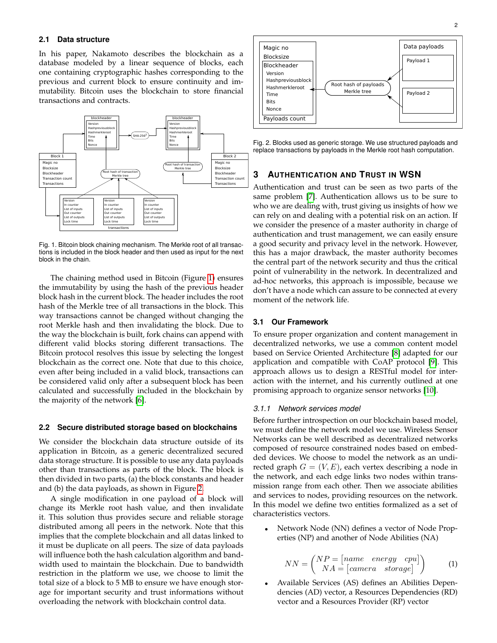# **2.1 Data structure**

In his paper, Nakamoto describes the blockchain as a database modeled by a linear sequence of blocks, each one containing cryptographic hashes corresponding to the previous and current block to ensure continuity and immutability. Bitcoin uses the blockchain to store financial transactions and contracts.



<span id="page-1-0"></span>Fig. 1. Bitcoin block chaining mechanism. The Merkle root of all transactions is included in the block header and then used as input for the next block in the chain.

The chaining method used in Bitcoin (Figure [1\)](#page-1-0) ensures the immutability by using the hash of the previous header block hash in the current block. The header includes the root hash of the Merkle tree of all transactions in the block. This way transactions cannot be changed without changing the root Merkle hash and then invalidating the block. Due to the way the blockchain is built, fork chains can append with different valid blocks storing different transactions. The Bitcoin protocol resolves this issue by selecting the longest blockchain as the correct one. Note that due to this choice, even after being included in a valid block, transactions can be considered valid only after a subsequent block has been calculated and successfully included in the blockchain by the majority of the network [\[6\]](#page-5-5).

#### **2.2 Secure distributed storage based on blockchains**

We consider the blockchain data structure outside of its application in Bitcoin, as a generic decentralized secured data storage structure. It is possible to use any data payloads other than transactions as parts of the block. The block is then divided in two parts, (a) the block constants and header and (b) the data payloads, as shown in Figure [2.](#page-1-1)

A single modification in one payload of a block will change its Merkle root hash value, and then invalidate it. This solution thus provides secure and reliable storage distributed among all peers in the network. Note that this implies that the complete blockchain and all datas linked to it must be duplicate on all peers. The size of data payloads will influence both the hash calculation algorithm and bandwidth used to maintain the blockchain. Due to bandwidth restriction in the platform we use, we choose to limit the total size of a block to 5 MB to ensure we have enough storage for important security and trust informations without overloading the network with blockchain control data.



<span id="page-1-1"></span>Fig. 2. Blocks used as generic storage. We use structured payloads and replace transactions by payloads in the Merkle root hash computation.

# **3 AUTHENTICATION AND TRUST IN WSN**

Authentication and trust can be seen as two parts of the same problem [\[7\]](#page-5-6). Authentication allows us to be sure to who we are dealing with, trust giving us insights of how we can rely on and dealing with a potential risk on an action. If we consider the presence of a master authority in charge of authentication and trust management, we can easily ensure a good security and privacy level in the network. However, this has a major drawback, the master authority becomes the central part of the network security and thus the critical point of vulnerability in the network. In decentralized and ad-hoc networks, this approach is impossible, because we don't have a node which can assure to be connected at every moment of the network life.

# **3.1 Our Framework**

To ensure proper organization and content management in decentralized networks, we use a common content model based on Service Oriented Architecture [\[8\]](#page-5-7) adapted for our application and compatible with CoAP protocol [\[9\]](#page-5-8). This approach allows us to design a RESTful model for interaction with the internet, and his currently outlined at one promising approach to organize sensor networks [\[10\]](#page-5-9).

#### *3.1.1 Network services model*

Before further introspection on our blockchain based model, we must define the network model we use. Wireless Sensor Networks can be well described as decentralized networks composed of resource constrained nodes based on embedded devices. We choose to model the network as an undirected graph  $G = (V, E)$ , each vertex describing a node in the network, and each edge links two nodes within transmission range from each other. Then we associate abilities and services to nodes, providing resources on the network. In this model we define two entities formalized as a set of characteristics vectors.

• Network Node (NN) defines a vector of Node Properties (NP) and another of Node Abilities (NA)

$$
NN = \begin{pmatrix} NP = [name \quad energy \quad cpu] \\ NA = [camera \quad storage] \end{pmatrix}
$$
 (1)

• Available Services (AS) defines an Abilities Dependencies (AD) vector, a Resources Dependencies (RD) vector and a Resources Provider (RP) vector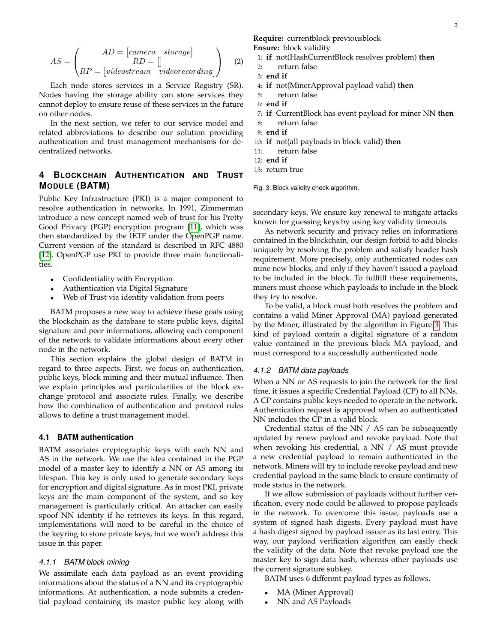$$
AS = \begin{pmatrix} AD = [camera \quad storage] \\ RD = [] \\ RP = [videostream \quad video recording] \end{pmatrix}
$$
 (2)

Each node stores services in a Service Registry (SR). Nodes having the storage ability can store services they cannot deploy to ensure reuse of these services in the future on other nodes.

In the next section, we refer to our service model and related abbreviations to describe our solution providing authentication and trust management mechanisms for decentralized networks.

# **4 BLOCKCHAIN AUTHENTICATION AND TRUST MODULE (BATM)**

Public Key Infrastructure (PKI) is a major component to resolve authentication in networks. In 1991, Zimmerman introduce a new concept named web of trust for his Pretty Good Privacy (PGP) encryption program [\[11\]](#page-5-10), which was then standardized by the IETF under the OpenPGP name. Current version of the standard is described in RFC 4880 [\[12\]](#page-5-11). OpenPGP use PKI to provide three main functionalities.

- Confidentiality with Encryption
- Authentication via Digital Signature
- Web of Trust via identity validation from peers

BATM proposes a new way to achieve these goals using the blockchain as the database to store public keys, digital signature and peer informations, allowing each component of the network to validate informations about every other node in the network.

This section explains the global design of BATM in regard to three aspects. First, we focus on authentication, public keys, block mining and their mutual influence. Then we explain principles and particularities of the block exchange protocol and associate rules. Finally, we describe how the combination of authentication and protocol rules allows to define a trust management model.

#### **4.1 BATM authentication**

BATM associates cryptographic keys with each NN and AS in the network. We use the idea contained in the PGP model of a master key to identify a NN or AS among its lifespan. This key is only used to generate secondary keys for encryption and digital signature. As in most PKI, private keys are the main component of the system, and so key management is particularly critical. An attacker can easily spoof NN identity if he retrieves its keys. In this regard, implementations will need to be careful in the choice of the keyring to store private keys, but we won't address this issue in this paper.

#### *4.1.1 BATM block mining*

We assimilate each data payload as an event providing informations about the status of a NN and its cryptographic informations. At authentication, a node submits a credential payload containing its master public key along with **Require:** currentblock previousblock **Ensure:** block validity

- 1: **if** not(HashCurrentBlock resolves problem) **then**
- 2: return false
- 3: **end if**
- 4: **if** not(MinerApproval payload valid) **then**
- 5: return false
- 6: **end if**
- 7: **if** CurrentBlock has event payload for miner NN **then**
- 8: return false
- 9: **end if**
- 10: **if** not(all payloads in block valid) **then**
- 11: return false
- 12: **end if**
- 13: return true

<span id="page-2-0"></span>Fig. 3. Block validity check algorithm.

secondary keys. We ensure key renewal to mitigate attacks known for guessing keys by using key validity timeouts.

As network security and privacy relies on informations contained in the blockchain, our design forbid to add blocks uniquely by resolving the problem and satisfy header hash requirement. More precisely, only authenticated nodes can mine new blocks, and only if they haven't issued a payload to be included in the block. To fullfill these requirements, miners must choose which payloads to include in the block they try to resolve.

To be valid, a block must both resolves the problem and contains a valid Miner Approval (MA) payload generated by the Miner, illustrated by the algorithm in Figure [3.](#page-2-0) This kind of payload contain a digital signature of a random value contained in the previous block MA payload, and must correspond to a successfully authenticated node.

### *4.1.2 BATM data payloads*

When a NN or AS requests to join the network for the first time, it issues a specific Credential Payload (CP) to all NNs. A CP contains public keys needed to operate in the network. Authentication request is approved when an authenticated NN includes the CP in a valid block.

Credential status of the NN / AS can be subsequently updated by renew payload and revoke payload. Note that when revoking his credential, a NN / AS must provide a new credential payload to remain authenticated in the network. Miners will try to include revoke payload and new credential payload in the same block to ensure continuity of node status in the network.

If we allow submission of payloads without further verification, every node could be allowed to propose payloads in the network. To overcome this issue, payloads use a system of signed hash digests. Every payload must have a hash digest signed by payload issuer as its last entry. This way, our payload verification algorithm can easily check the validity of the data. Note that revoke payload use the master key to sign data hash, whereas other payloads use the current signature subkey.

BATM uses 6 different payload types as follows.

- MA (Miner Approval)
- NN and AS Payloads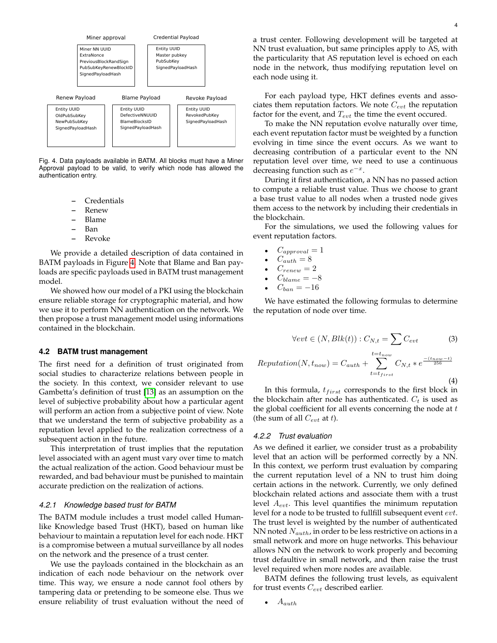

<span id="page-3-0"></span>Fig. 4. Data payloads available in BATM. All blocks must have a Miner Approval payload to be valid, to verify which node has allowed the authentication entry.

- **–** Credentials
- **–** Renew
- **–** Blame
- **–** Ban
- **–** Revoke

We provide a detailed description of data contained in BATM payloads in Figure [4.](#page-3-0) Note that Blame and Ban payloads are specific payloads used in BATM trust management model.

We showed how our model of a PKI using the blockchain ensure reliable storage for cryptographic material, and how we use it to perform NN authentication on the network. We then propose a trust management model using informations contained in the blockchain.

#### **4.2 BATM trust management**

The first need for a definition of trust originated from social studies to characterize relations between people in the society. In this context, we consider relevant to use Gambetta's definition of trust [\[13\]](#page-5-12) as an assumption on the level of subjective probability about how a particular agent will perform an action from a subjective point of view. Note that we understand the term of subjective probability as a reputation level applied to the realization correctness of a subsequent action in the future.

This interpretation of trust implies that the reputation level associated with an agent must vary over time to match the actual realization of the action. Good behaviour must be rewarded, and bad behaviour must be punished to maintain accurate prediction on the realization of actions.

#### *4.2.1 Knowledge based trust for BATM*

The BATM module includes a trust model called Humanlike Knowledge based Trust (HKT), based on human like behaviour to maintain a reputation level for each node. HKT is a compromise between a mutual surveillance by all nodes on the network and the presence of a trust center.

We use the payloads contained in the blockchain as an indication of each node behaviour on the network over time. This way, we ensure a node cannot fool others by tampering data or pretending to be someone else. Thus we ensure reliability of trust evaluation without the need of

a trust center. Following development will be targeted at NN trust evaluation, but same principles apply to AS, with the particularity that AS reputation level is echoed on each node in the network, thus modifying reputation level on each node using it.

For each payload type, HKT defines events and associates them reputation factors. We note  $C_{evt}$  the reputation factor for the event, and  $T_{evt}$  the time the event occured.

To make the NN reputation evolve naturally over time, each event reputation factor must be weighted by a function evolving in time since the event occurs. As we want to decreasing contribution of a particular event to the NN reputation level over time, we need to use a continuous decreasing function such as  $e^{-x}$ .

During it first authentication, a NN has no passed action to compute a reliable trust value. Thus we choose to grant a base trust value to all nodes when a trusted node gives them access to the network by including their credentials in the blockchain.

For the simulations, we used the following values for event reputation factors.

- $C_{approual} = 1$
- $C_{auth} = 8$
- $C_{renew} = 2$
- $C_{blame} = -8$
- $C_{ban} = -16$

We have estimated the following formulas to determine the reputation of node over time.

$$
\forall evt \in (N, Blk(t)): C_{N,t} = \sum C_{evt} \tag{3}
$$

$$
Reputation(N, t_{now}) = C_{auth} + \sum_{t=t_{first}}^{t=t_{now}} C_{N,t} * e^{\frac{-(t_{now}-t)}{256}}
$$
\n
$$
\tag{4}
$$

In this formula,  $t_{first}$  corresponds to the first block in the blockchain after node has authenticated.  $C_t$  is used as the global coefficient for all events concerning the node at  $t$ (the sum of all  $C_{evt}$  at t).

#### *4.2.2 Trust evaluation*

As we defined it earlier, we consider trust as a probability level that an action will be performed correctly by a NN. In this context, we perform trust evaluation by comparing the current reputation level of a NN to trust him doing certain actions in the network. Currently, we only defined blockchain related actions and associate them with a trust level  $A_{evt}$ . This level quantifies the minimum reputation level for a node to be trusted to fullfill subsequent event evt. The trust level is weighted by the number of authenticated NN noted  $N_{auth}$ , in order to be less restrictive on actions in a small network and more on huge networks. This behaviour allows NN on the network to work properly and becoming trust defaultive in small network, and then raise the trust level required when more nodes are available.

BATM defines the following trust levels, as equivalent for trust events  $C_{evt}$  described earlier.

 $A_{auth}$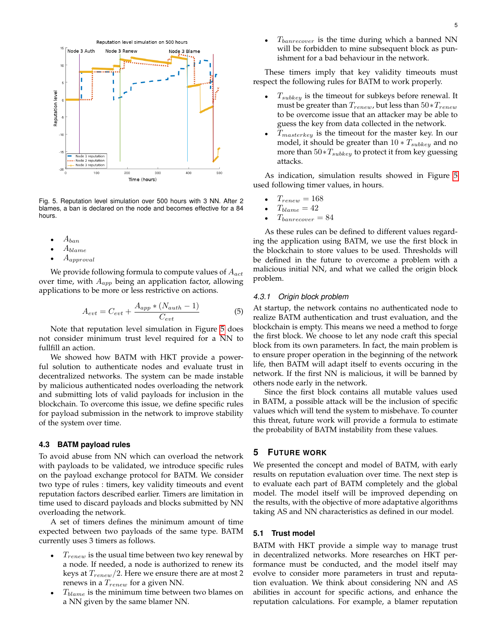

<span id="page-4-0"></span>Fig. 5. Reputation level simulation over 500 hours with 3 NN. After 2 blames, a ban is declared on the node and becomes effective for a 84 hours.

- $A_{ban}$
- $A_{blame}$
- Aapproval

We provide following formula to compute values of  $A_{act}$ over time, with  $A_{app}$  being an application factor, allowing applications to be more or less restrictive on actions.

$$
A_{evt} = C_{evt} + \frac{A_{app} * (N_{auth} - 1)}{C_{evt}} \tag{5}
$$

Note that reputation level simulation in Figure [5](#page-4-0) does not consider minimum trust level required for a NN to fullfill an action.

We showed how BATM with HKT provide a powerful solution to authenticate nodes and evaluate trust in decentralized networks. The system can be made instable by malicious authenticated nodes overloading the network and submitting lots of valid payloads for inclusion in the blockchain. To overcome this issue, we define specific rules for payload submission in the network to improve stability of the system over time.

#### **4.3 BATM payload rules**

To avoid abuse from NN which can overload the network with payloads to be validated, we introduce specific rules on the payload exchange protocol for BATM. We consider two type of rules : timers, key validity timeouts and event reputation factors described earlier. Timers are limitation in time used to discard payloads and blocks submitted by NN overloading the network.

A set of timers defines the minimum amount of time expected between two payloads of the same type. BATM currently uses 3 timers as follows.

- $T_{renew}$  is the usual time between two key renewal by a node. If needed, a node is authorized to renew its keys at  $T_{renew}/2$ . Here we ensure there are at most 2 renews in a  $T_{renew}$  for a given NN.
- $T_{blame}$  is the minimum time between two blames on a NN given by the same blamer NN.

These timers imply that key validity timeouts must respect the following rules for BATM to work properly.

- $T_{subkeu}$  is the timeout for subkeys before renewal. It must be greater than  $T_{renew}$ , but less than  $50 * T_{renew}$ to be overcome issue that an attacker may be able to guess the key from data collected in the network.
- $T_{masterkey}$  is the timeout for the master key. In our model, it should be greater than  $10 * T_{subkey}$  and no more than  $50*T_{subkey}$  to protect it from key guessing attacks.

As indication, simulation results showed in Figure [5](#page-4-0) used following timer values, in hours.

- $T_{renew} = 168$
- $T_{blame} = 42$
- $T_{banrecover} = 84$

As these rules can be defined to different values regarding the application using BATM, we use the first block in the blockchain to store values to be used. Thresholds will be defined in the future to overcome a problem with a malicious initial NN, and what we called the origin block problem.

#### *4.3.1 Origin block problem*

At startup, the network contains no authenticated node to realize BATM authentication and trust evaluation, and the blockchain is empty. This means we need a method to forge the first block. We choose to let any node craft this special block from its own parameters. In fact, the main problem is to ensure proper operation in the beginning of the network life, then BATM will adapt itself to events occuring in the network. If the first NN is malicious, it will be banned by others node early in the network.

Since the first block contains all mutable values used in BATM, a possible attack will be the inclusion of specific values which will tend the system to misbehave. To counter this threat, future work will provide a formula to estimate the probability of BATM instability from these values.

# **5 FUTURE WORK**

We presented the concept and model of BATM, with early results on reputation evaluation over time. The next step is to evaluate each part of BATM completely and the global model. The model itself will be improved depending on the results, with the objective of more adaptative algorithms taking AS and NN characteristics as defined in our model.

#### **5.1 Trust model**

BATM with HKT provide a simple way to manage trust in decentralized networks. More researches on HKT performance must be conducted, and the model itself may evolve to consider more parameters in trust and reputation evaluation. We think about considering NN and AS abilities in account for specific actions, and enhance the reputation calculations. For example, a blamer reputation